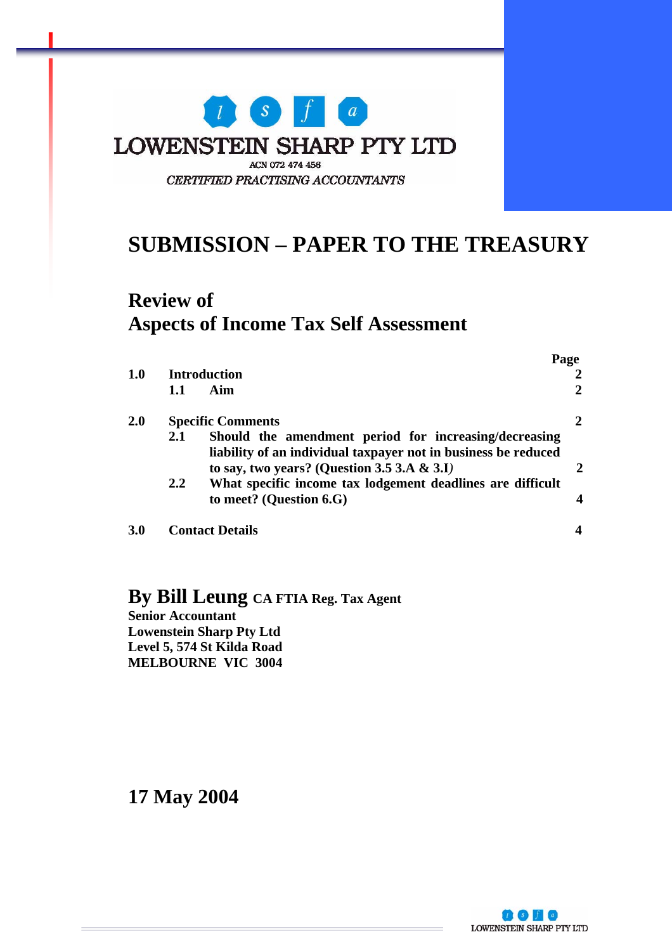

## **SUBMISSION – PAPER TO THE TREASURY**

### **Review of Aspects of Income Tax Self Assessment**

|     |                          |                                                                                                                                                                           | Page |
|-----|--------------------------|---------------------------------------------------------------------------------------------------------------------------------------------------------------------------|------|
| 1.0 | Introduction             |                                                                                                                                                                           |      |
|     | 1.1                      | Aim                                                                                                                                                                       | 2    |
| 2.0 | <b>Specific Comments</b> |                                                                                                                                                                           | 2    |
|     | 2.1                      | Should the amendment period for increasing/decreasing<br>liability of an individual taxpayer not in business be reduced<br>to say, two years? (Question 3.5 3.A $\&$ 3.I) |      |
|     | $2.2^{\circ}$            | What specific income tax lodgement deadlines are difficult<br>to meet? (Question 6.G)                                                                                     |      |
| 3.0 |                          | <b>Contact Details</b>                                                                                                                                                    |      |

### **By Bill Leung CA FTIA Reg. Tax Agent**

**Senior Accountant Lowenstein Sharp Pty Ltd Level 5, 574 St Kilda Road MELBOURNE VIC 3004**

**17 May 2004** 

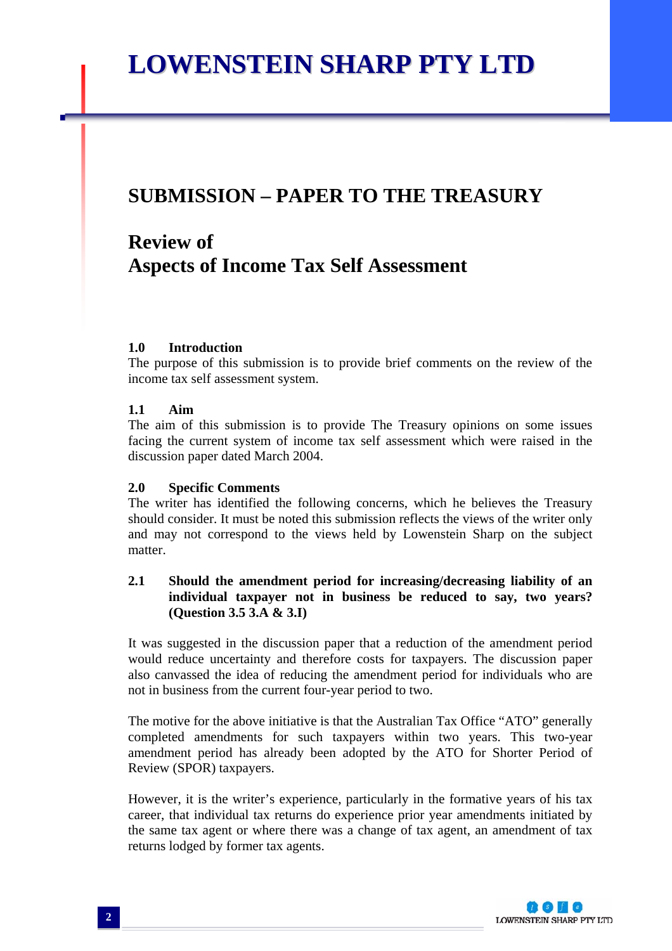# **LOWENSTEIN SHARP PTY LTD**

### **SUBMISSION – PAPER TO THE TREASURY**

### **Review of Aspects of Income Tax Self Assessment**

#### **1.0 Introduction**

The purpose of this submission is to provide brief comments on the review of the income tax self assessment system.

#### **1.1 Aim**

The aim of this submission is to provide The Treasury opinions on some issues facing the current system of income tax self assessment which were raised in the discussion paper dated March 2004.

#### **2.0 Specific Comments**

The writer has identified the following concerns, which he believes the Treasury should consider. It must be noted this submission reflects the views of the writer only and may not correspond to the views held by Lowenstein Sharp on the subject matter.

#### **2.1 Should the amendment period for increasing/decreasing liability of an individual taxpayer not in business be reduced to say, two years? (Question 3.5 3.A & 3.I)**

It was suggested in the discussion paper that a reduction of the amendment period would reduce uncertainty and therefore costs for taxpayers. The discussion paper also canvassed the idea of reducing the amendment period for individuals who are not in business from the current four-year period to two.

The motive for the above initiative is that the Australian Tax Office "ATO" generally completed amendments for such taxpayers within two years. This two-year amendment period has already been adopted by the ATO for Shorter Period of Review (SPOR) taxpayers.

However, it is the writer's experience, particularly in the formative years of his tax career, that individual tax returns do experience prior year amendments initiated by the same tax agent or where there was a change of tax agent, an amendment of tax returns lodged by former tax agents.

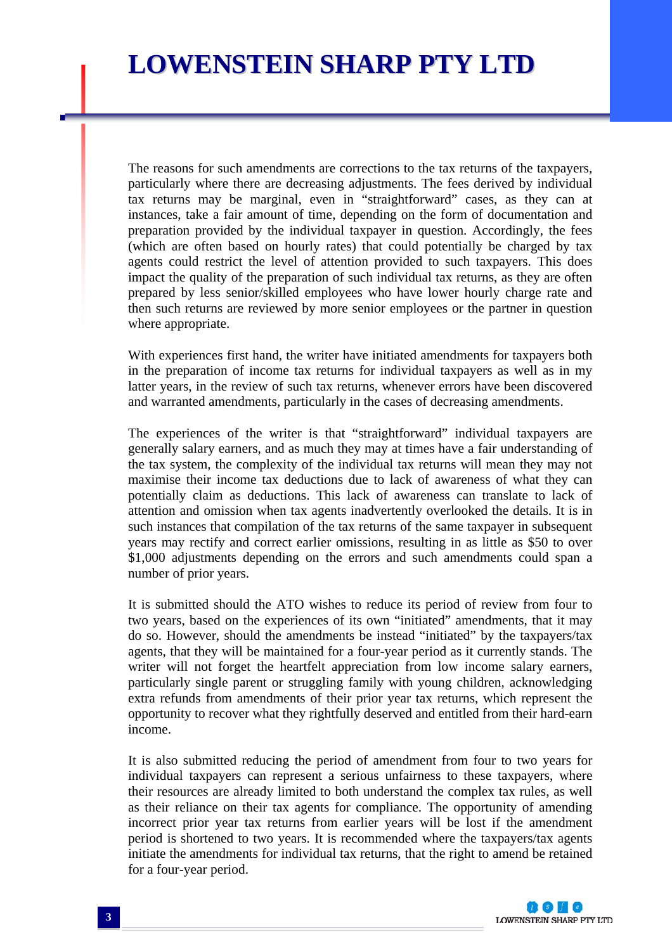The reasons for such amendments are corrections to the tax returns of the taxpayers, particularly where there are decreasing adjustments. The fees derived by individual tax returns may be marginal, even in "straightforward" cases, as they can at instances, take a fair amount of time, depending on the form of documentation and preparation provided by the individual taxpayer in question. Accordingly, the fees (which are often based on hourly rates) that could potentially be charged by tax agents could restrict the level of attention provided to such taxpayers. This does impact the quality of the preparation of such individual tax returns, as they are often prepared by less senior/skilled employees who have lower hourly charge rate and then such returns are reviewed by more senior employees or the partner in question where appropriate.

With experiences first hand, the writer have initiated amendments for taxpayers both in the preparation of income tax returns for individual taxpayers as well as in my latter years, in the review of such tax returns, whenever errors have been discovered and warranted amendments, particularly in the cases of decreasing amendments.

The experiences of the writer is that "straightforward" individual taxpayers are generally salary earners, and as much they may at times have a fair understanding of the tax system, the complexity of the individual tax returns will mean they may not maximise their income tax deductions due to lack of awareness of what they can potentially claim as deductions. This lack of awareness can translate to lack of attention and omission when tax agents inadvertently overlooked the details. It is in such instances that compilation of the tax returns of the same taxpayer in subsequent years may rectify and correct earlier omissions, resulting in as little as \$50 to over \$1,000 adjustments depending on the errors and such amendments could span a number of prior years.

It is submitted should the ATO wishes to reduce its period of review from four to two years, based on the experiences of its own "initiated" amendments, that it may do so. However, should the amendments be instead "initiated" by the taxpayers/tax agents, that they will be maintained for a four-year period as it currently stands. The writer will not forget the heartfelt appreciation from low income salary earners, particularly single parent or struggling family with young children, acknowledging extra refunds from amendments of their prior year tax returns, which represent the opportunity to recover what they rightfully deserved and entitled from their hard-earn income.

It is also submitted reducing the period of amendment from four to two years for individual taxpayers can represent a serious unfairness to these taxpayers, where their resources are already limited to both understand the complex tax rules, as well as their reliance on their tax agents for compliance. The opportunity of amending incorrect prior year tax returns from earlier years will be lost if the amendment period is shortened to two years. It is recommended where the taxpayers/tax agents initiate the amendments for individual tax returns, that the right to amend be retained for a four-year period.